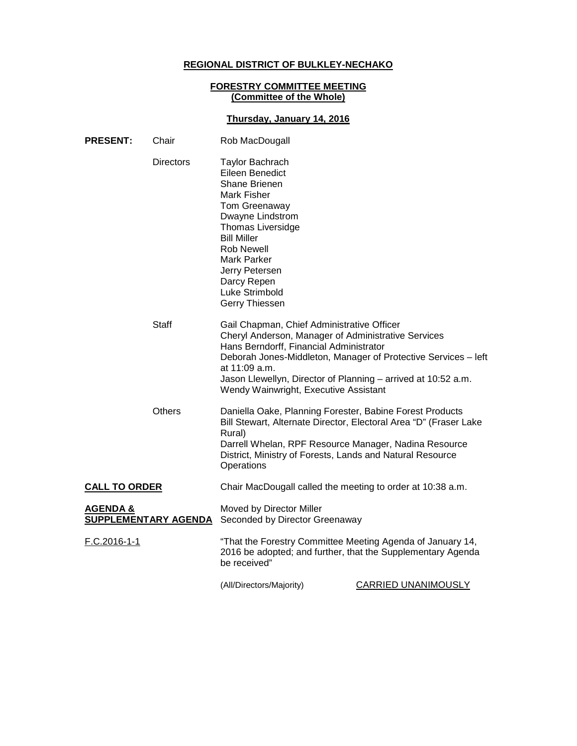# **REGIONAL DISTRICT OF BULKLEY-NECHAKO**

### **FORESTRY COMMITTEE MEETING (Committee of the Whole)**

## **Thursday, January 14, 2016**

| <b>PRESENT:</b>                                    | Chair            | Rob MacDougall                                                                                                                                                                                                                                                                          |                                                                |
|----------------------------------------------------|------------------|-----------------------------------------------------------------------------------------------------------------------------------------------------------------------------------------------------------------------------------------------------------------------------------------|----------------------------------------------------------------|
|                                                    | <b>Directors</b> | <b>Taylor Bachrach</b><br>Eileen Benedict<br><b>Shane Brienen</b><br>Mark Fisher<br>Tom Greenaway<br>Dwayne Lindstrom<br><b>Thomas Liversidge</b><br><b>Bill Miller</b><br><b>Rob Newell</b><br><b>Mark Parker</b><br>Jerry Petersen<br>Darcy Repen<br>Luke Strimbold<br>Gerry Thiessen |                                                                |
|                                                    | Staff            | Gail Chapman, Chief Administrative Officer<br>Cheryl Anderson, Manager of Administrative Services<br>Hans Berndorff, Financial Administrator<br>at 11:09 a.m.<br>Jason Llewellyn, Director of Planning – arrived at 10:52 a.m.<br>Wendy Wainwright, Executive Assistant                 | Deborah Jones-Middleton, Manager of Protective Services - left |
|                                                    | Others           | Daniella Oake, Planning Forester, Babine Forest Products<br>Bill Stewart, Alternate Director, Electoral Area "D" (Fraser Lake<br>Rural)<br>Darrell Whelan, RPF Resource Manager, Nadina Resource<br>District, Ministry of Forests, Lands and Natural Resource<br>Operations             |                                                                |
| <b>CALL TO ORDER</b>                               |                  | Chair MacDougall called the meeting to order at 10:38 a.m.                                                                                                                                                                                                                              |                                                                |
| <b>AGENDA &amp;</b><br><b>SUPPLEMENTARY AGENDA</b> |                  | Moved by Director Miller<br>Seconded by Director Greenaway                                                                                                                                                                                                                              |                                                                |
| F.C.2016-1-1                                       |                  | "That the Forestry Committee Meeting Agenda of January 14,<br>2016 be adopted; and further, that the Supplementary Agenda<br>be received"                                                                                                                                               |                                                                |
|                                                    |                  | (All/Directors/Majority)                                                                                                                                                                                                                                                                | <b>CARRIED UNANIMOUSLY</b>                                     |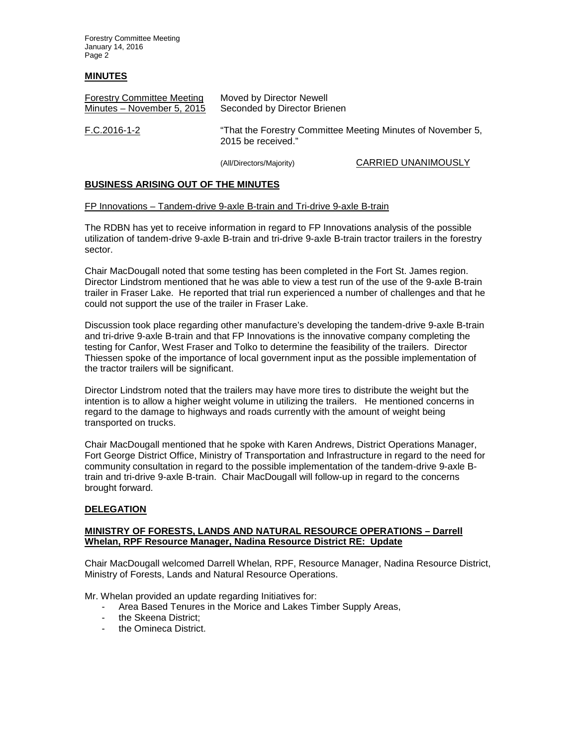Forestry Committee Meeting January 14, 2016 Page 2

### **MINUTES**

| <b>Forestry Committee Meeting</b> | Moved by Director Newell                                                          |
|-----------------------------------|-----------------------------------------------------------------------------------|
| Minutes - November 5, 2015        | Seconded by Director Brienen                                                      |
| F.C.2016-1-2                      | "That the Forestry Committee Meeting Minutes of November 5,<br>2015 be received." |

(All/Directors/Majority) CARRIED UNANIMOUSLY

#### **BUSINESS ARISING OUT OF THE MINUTES**

#### FP Innovations – Tandem-drive 9-axle B-train and Tri-drive 9-axle B-train

The RDBN has yet to receive information in regard to FP Innovations analysis of the possible utilization of tandem-drive 9-axle B-train and tri-drive 9-axle B-train tractor trailers in the forestry sector.

Chair MacDougall noted that some testing has been completed in the Fort St. James region. Director Lindstrom mentioned that he was able to view a test run of the use of the 9-axle B-train trailer in Fraser Lake. He reported that trial run experienced a number of challenges and that he could not support the use of the trailer in Fraser Lake.

Discussion took place regarding other manufacture's developing the tandem-drive 9-axle B-train and tri-drive 9-axle B-train and that FP Innovations is the innovative company completing the testing for Canfor, West Fraser and Tolko to determine the feasibility of the trailers. Director Thiessen spoke of the importance of local government input as the possible implementation of the tractor trailers will be significant.

Director Lindstrom noted that the trailers may have more tires to distribute the weight but the intention is to allow a higher weight volume in utilizing the trailers. He mentioned concerns in regard to the damage to highways and roads currently with the amount of weight being transported on trucks.

Chair MacDougall mentioned that he spoke with Karen Andrews, District Operations Manager, Fort George District Office, Ministry of Transportation and Infrastructure in regard to the need for community consultation in regard to the possible implementation of the tandem-drive 9-axle Btrain and tri-drive 9-axle B-train. Chair MacDougall will follow-up in regard to the concerns brought forward.

### **DELEGATION**

### **MINISTRY OF FORESTS, LANDS AND NATURAL RESOURCE OPERATIONS – Darrell Whelan, RPF Resource Manager, Nadina Resource District RE: Update**

Chair MacDougall welcomed Darrell Whelan, RPF, Resource Manager, Nadina Resource District, Ministry of Forests, Lands and Natural Resource Operations.

Mr. Whelan provided an update regarding Initiatives for:

- Area Based Tenures in the Morice and Lakes Timber Supply Areas,
- the Skeena District;
- the Omineca District.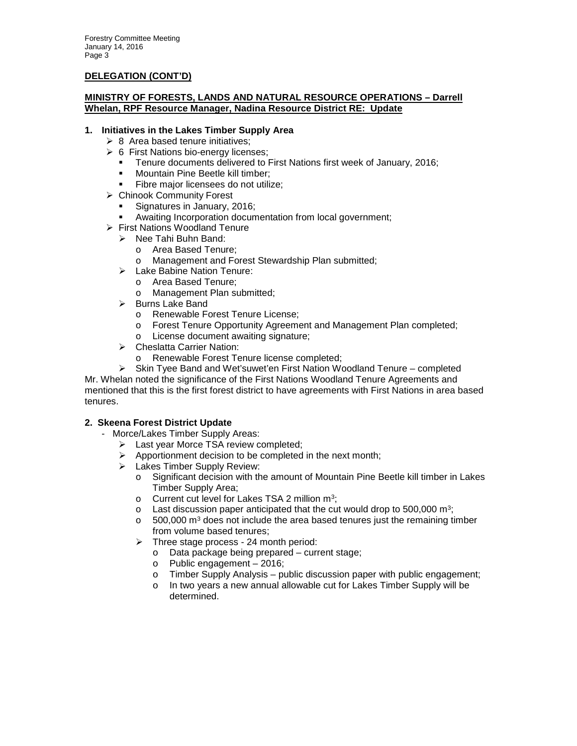### **DELEGATION (CONT'D)**

### **MINISTRY OF FORESTS, LANDS AND NATURAL RESOURCE OPERATIONS – Darrell Whelan, RPF Resource Manager, Nadina Resource District RE: Update**

### **1. Initiatives in the Lakes Timber Supply Area**

- $\geq 8$  Area based tenure initiatives;
- $\geqslant 6$  First Nations bio-energy licenses:
	- **Tenure documents delivered to First Nations first week of January, 2016;**<br>Mountain Pine Beetle kill timber:
	- Mountain Pine Beetle kill timber;
	- Fibre major licensees do not utilize;
- Chinook Community Forest
	- Signatures in January, 2016;
- Awaiting Incorporation documentation from local government;
- First Nations Woodland Tenure
	- $\triangleright$  Nee Tahi Buhn Band:
		- o Area Based Tenure;
		- o Management and Forest Stewardship Plan submitted;
	- > Lake Babine Nation Tenure:
		- o Area Based Tenure;
		- o Management Plan submitted;
	- $\triangleright$  Burns Lake Band
		- o Renewable Forest Tenure License;
		- o Forest Tenure Opportunity Agreement and Management Plan completed;
		- o License document awaiting signature;
	- > Cheslatta Carrier Nation:
		- o Renewable Forest Tenure license completed;
	- $\triangleright$  Skin Tyee Band and Wet'suwet'en First Nation Woodland Tenure completed

Mr. Whelan noted the significance of the First Nations Woodland Tenure Agreements and mentioned that this is the first forest district to have agreements with First Nations in area based tenures.

### **2. Skeena Forest District Update**

- Morce/Lakes Timber Supply Areas:
	- > Last year Morce TSA review completed;
	- $\triangleright$  Apportionment decision to be completed in the next month;
	- > Lakes Timber Supply Review:
		- o Significant decision with the amount of Mountain Pine Beetle kill timber in Lakes Timber Supply Area;
		- $\circ$  Current cut level for Lakes TSA 2 million m<sup>3</sup>;
		- $\circ$  Last discussion paper anticipated that the cut would drop to 500,000 m<sup>3</sup>;
		- $\circ$  500,000 m<sup>3</sup> does not include the area based tenures just the remaining timber from volume based tenures;
		- $\triangleright$  Three stage process 24 month period:
			- o Data package being prepared current stage;
			- o Public engagement 2016;
			- $\circ$  Timber Supply Analysis public discussion paper with public engagement;<br>  $\circ$  In two vears a new annual allowable cut for Lakes Timber Supply will be
			- In two years a new annual allowable cut for Lakes Timber Supply will be determined.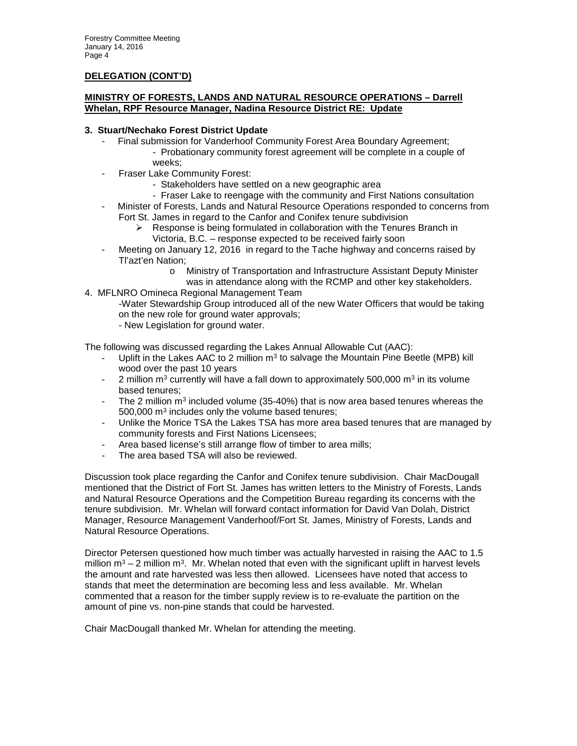### **DELEGATION (CONT'D)**

### **MINISTRY OF FORESTS, LANDS AND NATURAL RESOURCE OPERATIONS – Darrell Whelan, RPF Resource Manager, Nadina Resource District RE: Update**

### **3. Stuart/Nechako Forest District Update**

- Final submission for Vanderhoof Community Forest Area Boundary Agreement;
	- Probationary community forest agreement will be complete in a couple of weeks;
- Fraser Lake Community Forest:
	- Stakeholders have settled on a new geographic area
	- Fraser Lake to reengage with the community and First Nations consultation
- Minister of Forests, Lands and Natural Resource Operations responded to concerns from Fort St. James in regard to the Canfor and Conifex tenure subdivision
	- $\triangleright$  Response is being formulated in collaboration with the Tenures Branch in Victoria, B.C. – response expected to be received fairly soon
- Meeting on January 12, 2016 in regard to the Tache highway and concerns raised by Tl'azt'en Nation;
	- o Ministry of Transportation and Infrastructure Assistant Deputy Minister was in attendance along with the RCMP and other key stakeholders.
- 4. MFLNRO Omineca Regional Management Team
	- -Water Stewardship Group introduced all of the new Water Officers that would be taking on the new role for ground water approvals; - New Legislation for ground water.

The following was discussed regarding the Lakes Annual Allowable Cut (AAC):

- Uplift in the Lakes AAC to 2 million  $m<sup>3</sup>$  to salvage the Mountain Pine Beetle (MPB) kill wood over the past 10 years
- 2 million  $m^3$  currently will have a fall down to approximately 500,000  $m^3$  in its volume based tenures;
- The 2 million  $m<sup>3</sup>$  included volume (35-40%) that is now area based tenures whereas the 500,000 m3 includes only the volume based tenures;
- Unlike the Morice TSA the Lakes TSA has more area based tenures that are managed by community forests and First Nations Licensees;
- Area based license's still arrange flow of timber to area mills;
- The area based TSA will also be reviewed.

Discussion took place regarding the Canfor and Conifex tenure subdivision. Chair MacDougall mentioned that the District of Fort St. James has written letters to the Ministry of Forests, Lands and Natural Resource Operations and the Competition Bureau regarding its concerns with the tenure subdivision. Mr. Whelan will forward contact information for David Van Dolah, District Manager, Resource Management Vanderhoof/Fort St. James, Ministry of Forests, Lands and Natural Resource Operations.

Director Petersen questioned how much timber was actually harvested in raising the AAC to 1.5 million  $m^3 - 2$  million  $m^3$ . Mr. Whelan noted that even with the significant uplift in harvest levels the amount and rate harvested was less then allowed. Licensees have noted that access to stands that meet the determination are becoming less and less available. Mr. Whelan commented that a reason for the timber supply review is to re-evaluate the partition on the amount of pine vs. non-pine stands that could be harvested.

Chair MacDougall thanked Mr. Whelan for attending the meeting.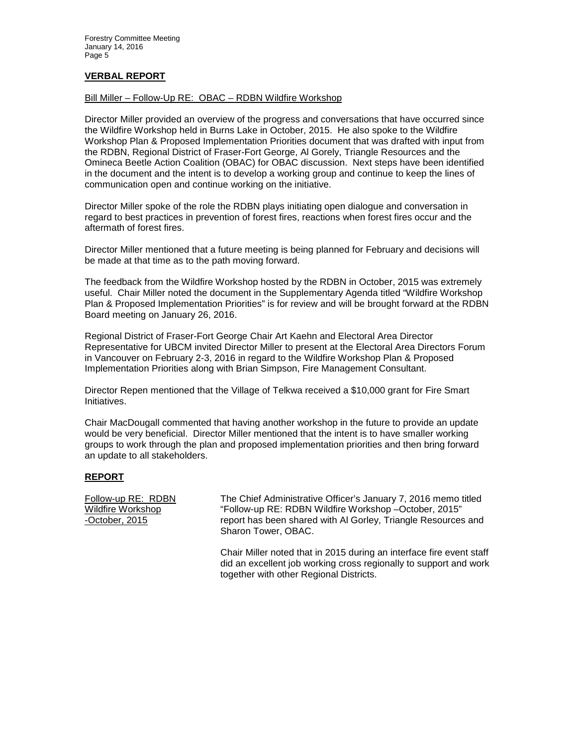### **VERBAL REPORT**

### Bill Miller – Follow-Up RE: OBAC – RDBN Wildfire Workshop

Director Miller provided an overview of the progress and conversations that have occurred since the Wildfire Workshop held in Burns Lake in October, 2015. He also spoke to the Wildfire Workshop Plan & Proposed Implementation Priorities document that was drafted with input from the RDBN, Regional District of Fraser-Fort George, Al Gorely, Triangle Resources and the Omineca Beetle Action Coalition (OBAC) for OBAC discussion. Next steps have been identified in the document and the intent is to develop a working group and continue to keep the lines of communication open and continue working on the initiative.

Director Miller spoke of the role the RDBN plays initiating open dialogue and conversation in regard to best practices in prevention of forest fires, reactions when forest fires occur and the aftermath of forest fires.

Director Miller mentioned that a future meeting is being planned for February and decisions will be made at that time as to the path moving forward.

The feedback from the Wildfire Workshop hosted by the RDBN in October, 2015 was extremely useful. Chair Miller noted the document in the Supplementary Agenda titled "Wildfire Workshop Plan & Proposed Implementation Priorities" is for review and will be brought forward at the RDBN Board meeting on January 26, 2016.

Regional District of Fraser-Fort George Chair Art Kaehn and Electoral Area Director Representative for UBCM invited Director Miller to present at the Electoral Area Directors Forum in Vancouver on February 2-3, 2016 in regard to the Wildfire Workshop Plan & Proposed Implementation Priorities along with Brian Simpson, Fire Management Consultant.

Director Repen mentioned that the Village of Telkwa received a \$10,000 grant for Fire Smart Initiatives.

Chair MacDougall commented that having another workshop in the future to provide an update would be very beneficial. Director Miller mentioned that the intent is to have smaller working groups to work through the plan and proposed implementation priorities and then bring forward an update to all stakeholders.

### **REPORT**

Follow-up RE: RDBN The Chief Administrative Officer's January 7, 2016 memo titled Wildfire Workshop "Follow-up RE: RDBN Wildfire Workshop –October, 2015" -October, 2015 report has been shared with Al Gorley, Triangle Resources and Sharon Tower, OBAC.

> Chair Miller noted that in 2015 during an interface fire event staff did an excellent job working cross regionally to support and work together with other Regional Districts.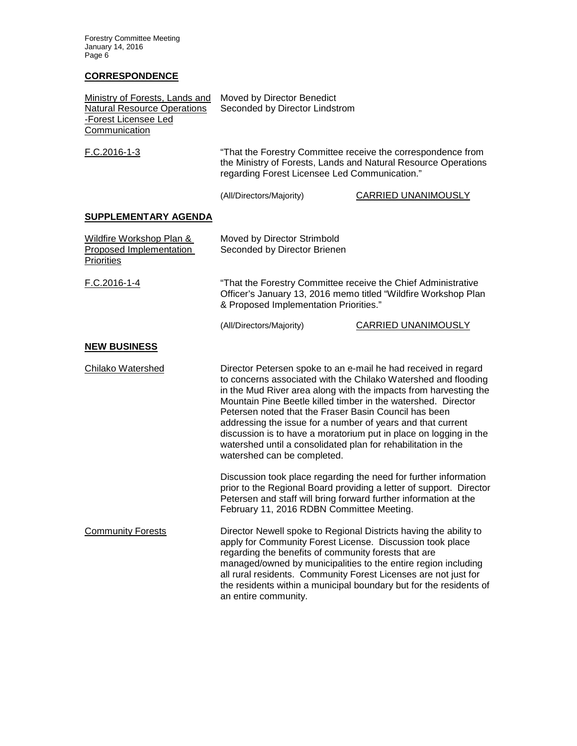Forestry Committee Meeting January 14, 2016 Page 6

### **CORRESPONDENCE**

| <b>Ministry of Forests, Lands and</b><br><b>Natural Resource Operations</b><br>-Forest Licensee Led<br>Communication | Moved by Director Benedict<br>Seconded by Director Lindstrom                                                                                                                                                                                                                                                                                                                                                                                                                                                                                                       |                                                                                                                                         |  |
|----------------------------------------------------------------------------------------------------------------------|--------------------------------------------------------------------------------------------------------------------------------------------------------------------------------------------------------------------------------------------------------------------------------------------------------------------------------------------------------------------------------------------------------------------------------------------------------------------------------------------------------------------------------------------------------------------|-----------------------------------------------------------------------------------------------------------------------------------------|--|
| F.C.2016-1-3                                                                                                         | "That the Forestry Committee receive the correspondence from<br>the Ministry of Forests, Lands and Natural Resource Operations<br>regarding Forest Licensee Led Communication."                                                                                                                                                                                                                                                                                                                                                                                    |                                                                                                                                         |  |
|                                                                                                                      | (All/Directors/Majority)                                                                                                                                                                                                                                                                                                                                                                                                                                                                                                                                           | <b>CARRIED UNANIMOUSLY</b>                                                                                                              |  |
| <b>SUPPLEMENTARY AGENDA</b>                                                                                          |                                                                                                                                                                                                                                                                                                                                                                                                                                                                                                                                                                    |                                                                                                                                         |  |
| Wildfire Workshop Plan &<br>Proposed Implementation<br><b>Priorities</b>                                             | Moved by Director Strimbold<br>Seconded by Director Brienen                                                                                                                                                                                                                                                                                                                                                                                                                                                                                                        |                                                                                                                                         |  |
| F.C.2016-1-4                                                                                                         | "That the Forestry Committee receive the Chief Administrative<br>Officer's January 13, 2016 memo titled "Wildfire Workshop Plan<br>& Proposed Implementation Priorities."                                                                                                                                                                                                                                                                                                                                                                                          |                                                                                                                                         |  |
|                                                                                                                      | (All/Directors/Majority)                                                                                                                                                                                                                                                                                                                                                                                                                                                                                                                                           | <b>CARRIED UNANIMOUSLY</b>                                                                                                              |  |
| <b>NEW BUSINESS</b>                                                                                                  |                                                                                                                                                                                                                                                                                                                                                                                                                                                                                                                                                                    |                                                                                                                                         |  |
| Chilako Watershed                                                                                                    | Director Petersen spoke to an e-mail he had received in regard<br>to concerns associated with the Chilako Watershed and flooding<br>in the Mud River area along with the impacts from harvesting the<br>Mountain Pine Beetle killed timber in the watershed. Director<br>Petersen noted that the Fraser Basin Council has been<br>addressing the issue for a number of years and that current<br>discussion is to have a moratorium put in place on logging in the<br>watershed until a consolidated plan for rehabilitation in the<br>watershed can be completed. |                                                                                                                                         |  |
|                                                                                                                      | Petersen and staff will bring forward further information at the<br>February 11, 2016 RDBN Committee Meeting.                                                                                                                                                                                                                                                                                                                                                                                                                                                      | Discussion took place regarding the need for further information<br>prior to the Regional Board providing a letter of support. Director |  |
| <b>Community Forests</b>                                                                                             | Director Newell spoke to Regional Districts having the ability to<br>apply for Community Forest License. Discussion took place<br>regarding the benefits of community forests that are<br>managed/owned by municipalities to the entire region including<br>all rural residents. Community Forest Licenses are not just for<br>the residents within a municipal boundary but for the residents of<br>an entire community.                                                                                                                                          |                                                                                                                                         |  |